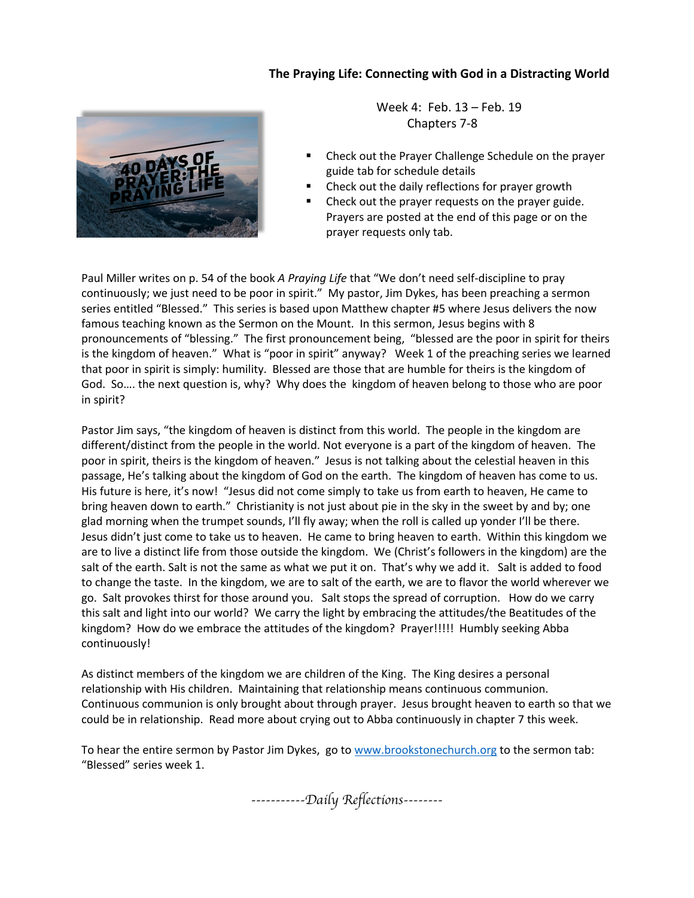## **The Praying Life: Connecting with God in a Distracting World**



 Week 4: Feb. 13 – Feb. 19 Chapters 7-8

- Check out the Prayer Challenge Schedule on the prayer guide tab for schedule details
- Check out the daily reflections for prayer growth
- Check out the prayer requests on the prayer guide. Prayers are posted at the end of this page or on the prayer requests only tab.

Paul Miller writes on p. 54 of the book *A Praying Life* that "We don't need self-discipline to pray continuously; we just need to be poor in spirit." My pastor, Jim Dykes, has been preaching a sermon series entitled "Blessed." This series is based upon Matthew chapter #5 where Jesus delivers the now famous teaching known as the Sermon on the Mount. In this sermon, Jesus begins with 8 pronouncements of "blessing." The first pronouncement being, "blessed are the poor in spirit for theirs is the kingdom of heaven." What is "poor in spirit" anyway? Week 1 of the preaching series we learned that poor in spirit is simply: humility. Blessed are those that are humble for theirs is the kingdom of God. So…. the next question is, why? Why does the kingdom of heaven belong to those who are poor in spirit?

Pastor Jim says, "the kingdom of heaven is distinct from this world. The people in the kingdom are different/distinct from the people in the world. Not everyone is a part of the kingdom of heaven. The poor in spirit, theirs is the kingdom of heaven." Jesus is not talking about the celestial heaven in this passage, He's talking about the kingdom of God on the earth. The kingdom of heaven has come to us. His future is here, it's now! "Jesus did not come simply to take us from earth to heaven, He came to bring heaven down to earth." Christianity is not just about pie in the sky in the sweet by and by; one glad morning when the trumpet sounds, I'll fly away; when the roll is called up yonder I'll be there. Jesus didn't just come to take us to heaven. He came to bring heaven to earth. Within this kingdom we are to live a distinct life from those outside the kingdom. We (Christ's followers in the kingdom) are the salt of the earth. Salt is not the same as what we put it on. That's why we add it. Salt is added to food to change the taste. In the kingdom, we are to salt of the earth, we are to flavor the world wherever we go. Salt provokes thirst for those around you. Salt stops the spread of corruption. How do we carry this salt and light into our world? We carry the light by embracing the attitudes/the Beatitudes of the kingdom? How do we embrace the attitudes of the kingdom? Prayer!!!!! Humbly seeking Abba continuously!

As distinct members of the kingdom we are children of the King. The King desires a personal relationship with His children. Maintaining that relationship means continuous communion. Continuous communion is only brought about through prayer. Jesus brought heaven to earth so that we could be in relationship. Read more about crying out to Abba continuously in chapter 7 this week.

To hear the entire sermon by Pastor Jim Dykes, go to www.brookstonechurch.org to the sermon tab: "Blessed" series week 1.

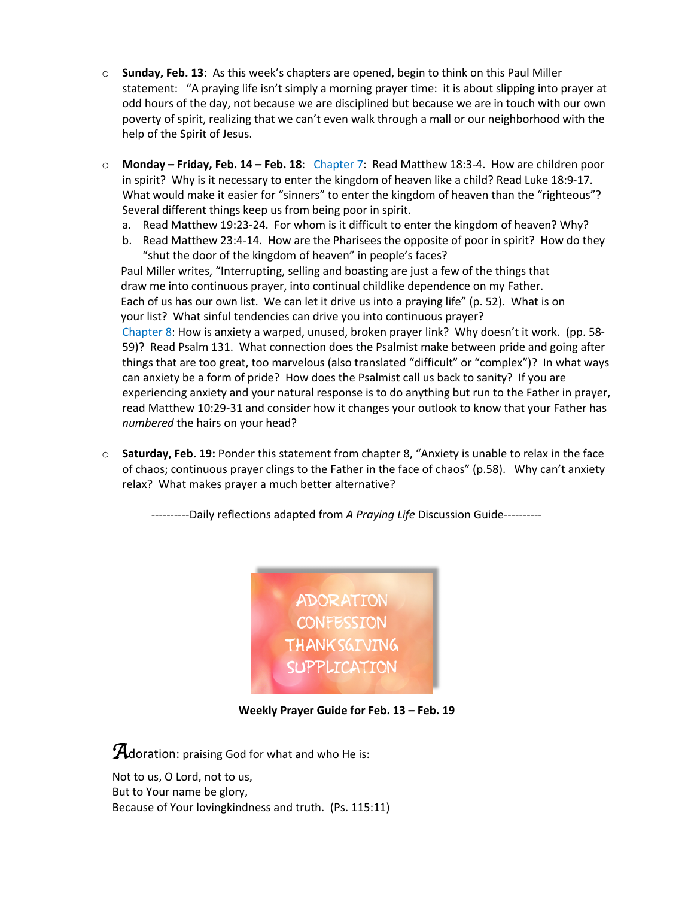- o **Sunday, Feb. 13**: As this week's chapters are opened, begin to think on this Paul Miller statement: "A praying life isn't simply a morning prayer time: it is about slipping into prayer at odd hours of the day, not because we are disciplined but because we are in touch with our own poverty of spirit, realizing that we can't even walk through a mall or our neighborhood with the help of the Spirit of Jesus.
- o **Monday – Friday, Feb. 14 – Feb. 18**: Chapter 7: Read Matthew 18:3-4. How are children poor in spirit? Why is it necessary to enter the kingdom of heaven like a child? Read Luke 18:9-17. What would make it easier for "sinners" to enter the kingdom of heaven than the "righteous"? Several different things keep us from being poor in spirit.
	- a. Read Matthew 19:23-24. For whom is it difficult to enter the kingdom of heaven? Why?
	- b. Read Matthew 23:4-14. How are the Pharisees the opposite of poor in spirit? How do they "shut the door of the kingdom of heaven" in people's faces?

 Paul Miller writes, "Interrupting, selling and boasting are just a few of the things that draw me into continuous prayer, into continual childlike dependence on my Father. Each of us has our own list. We can let it drive us into a praying life" (p. 52). What is on your list? What sinful tendencies can drive you into continuous prayer? Chapter 8: How is anxiety a warped, unused, broken prayer link? Why doesn't it work. (pp. 58- 59)? Read Psalm 131. What connection does the Psalmist make between pride and going after things that are too great, too marvelous (also translated "difficult" or "complex")? In what ways can anxiety be a form of pride? How does the Psalmist call us back to sanity? If you are experiencing anxiety and your natural response is to do anything but run to the Father in prayer, read Matthew 10:29-31 and consider how it changes your outlook to know that your Father has *numbered* the hairs on your head?

o **Saturday, Feb. 19:** Ponder this statement from chapter 8, "Anxiety is unable to relax in the face of chaos; continuous prayer clings to the Father in the face of chaos" (p.58). Why can't anxiety relax? What makes prayer a much better alternative?

----------Daily reflections adapted from *A Praying Life* Discussion Guide----------



**Weekly Prayer Guide for Feb. 13 – Feb. 19**

**A**doration: praising God for what and who He is:

Not to us, O Lord, not to us, But to Your name be glory, Because of Your lovingkindness and truth. (Ps. 115:11)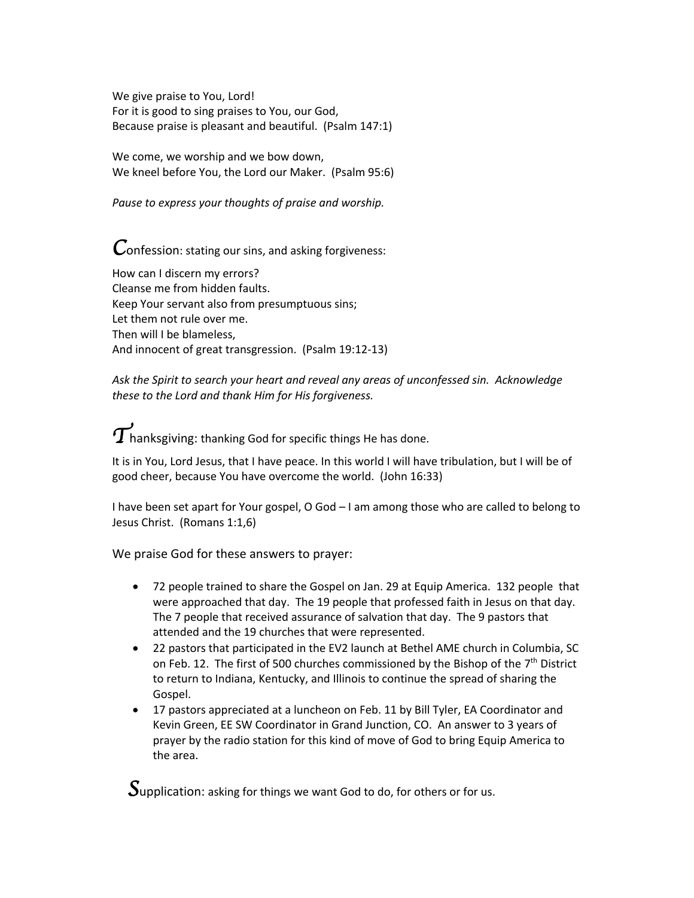We give praise to You, Lord! For it is good to sing praises to You, our God, Because praise is pleasant and beautiful. (Psalm 147:1)

We come, we worship and we bow down, We kneel before You, the Lord our Maker. (Psalm 95:6)

*Pause to express your thoughts of praise and worship.*

*C*onfession: stating our sins, and asking forgiveness:

How can I discern my errors? Cleanse me from hidden faults. Keep Your servant also from presumptuous sins; Let them not rule over me. Then will I be blameless, And innocent of great transgression. (Psalm 19:12-13)

*Ask the Spirit to search your heart and reveal any areas of unconfessed sin. Acknowledge these to the Lord and thank Him for His forgiveness.* 

 $\widetilde{T}$ hanksgiving: thanking God for specific things He has done.

It is in You, Lord Jesus, that I have peace. In this world I will have tribulation, but I will be of good cheer, because You have overcome the world. (John 16:33)

I have been set apart for Your gospel, O God – I am among those who are called to belong to Jesus Christ. (Romans 1:1,6)

We praise God for these answers to prayer:

- 72 people trained to share the Gospel on Jan. 29 at Equip America. 132 people that were approached that day. The 19 people that professed faith in Jesus on that day. The 7 people that received assurance of salvation that day. The 9 pastors that attended and the 19 churches that were represented.
- 22 pastors that participated in the EV2 launch at Bethel AME church in Columbia, SC on Feb. 12. The first of 500 churches commissioned by the Bishop of the  $7<sup>th</sup>$  District to return to Indiana, Kentucky, and Illinois to continue the spread of sharing the Gospel.
- 17 pastors appreciated at a luncheon on Feb. 11 by Bill Tyler, EA Coordinator and Kevin Green, EE SW Coordinator in Grand Junction, CO. An answer to 3 years of prayer by the radio station for this kind of move of God to bring Equip America to the area.

*S*upplication: asking for things we want God to do, for others or for us.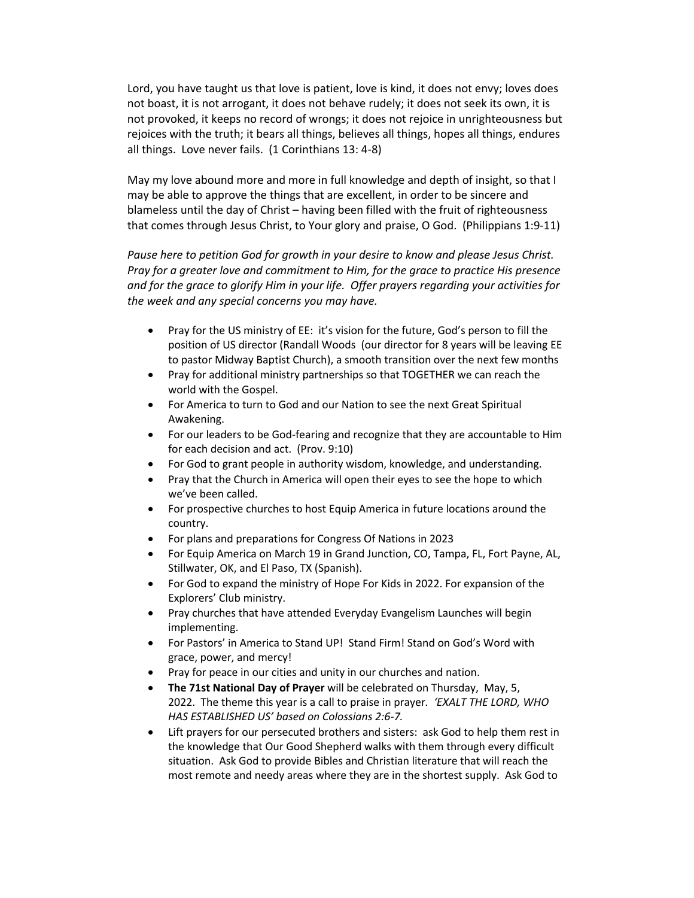Lord, you have taught us that love is patient, love is kind, it does not envy; loves does not boast, it is not arrogant, it does not behave rudely; it does not seek its own, it is not provoked, it keeps no record of wrongs; it does not rejoice in unrighteousness but rejoices with the truth; it bears all things, believes all things, hopes all things, endures all things. Love never fails. (1 Corinthians 13: 4-8)

May my love abound more and more in full knowledge and depth of insight, so that I may be able to approve the things that are excellent, in order to be sincere and blameless until the day of Christ – having been filled with the fruit of righteousness that comes through Jesus Christ, to Your glory and praise, O God. (Philippians 1:9-11)

*Pause here to petition God for growth in your desire to know and please Jesus Christ. Pray for a greater love and commitment to Him, for the grace to practice His presence and for the grace to glorify Him in your life. Offer prayers regarding your activities for the week and any special concerns you may have.* 

- Pray for the US ministry of EE: it's vision for the future, God's person to fill the position of US director (Randall Woods (our director for 8 years will be leaving EE to pastor Midway Baptist Church), a smooth transition over the next few months
- Pray for additional ministry partnerships so that TOGETHER we can reach the world with the Gospel.
- For America to turn to God and our Nation to see the next Great Spiritual Awakening.
- For our leaders to be God-fearing and recognize that they are accountable to Him for each decision and act. (Prov. 9:10)
- For God to grant people in authority wisdom, knowledge, and understanding.
- Pray that the Church in America will open their eyes to see the hope to which we've been called.
- For prospective churches to host Equip America in future locations around the country.
- For plans and preparations for Congress Of Nations in 2023
- For Equip America on March 19 in Grand Junction, CO, Tampa, FL, Fort Payne, AL, Stillwater, OK, and El Paso, TX (Spanish).
- For God to expand the ministry of Hope For Kids in 2022. For expansion of the Explorers' Club ministry.
- Pray churches that have attended Everyday Evangelism Launches will begin implementing.
- For Pastors' in America to Stand UP! Stand Firm! Stand on God's Word with grace, power, and mercy!
- Pray for peace in our cities and unity in our churches and nation.
- **The 71st National Day of Prayer** will be celebrated on Thursday, May, 5, 2022. The theme this year is a call to praise in prayer*. 'EXALT THE LORD, WHO HAS ESTABLISHED US' based on Colossians 2:6-7.*
- Lift prayers for our persecuted brothers and sisters: ask God to help them rest in the knowledge that Our Good Shepherd walks with them through every difficult situation. Ask God to provide Bibles and Christian literature that will reach the most remote and needy areas where they are in the shortest supply. Ask God to